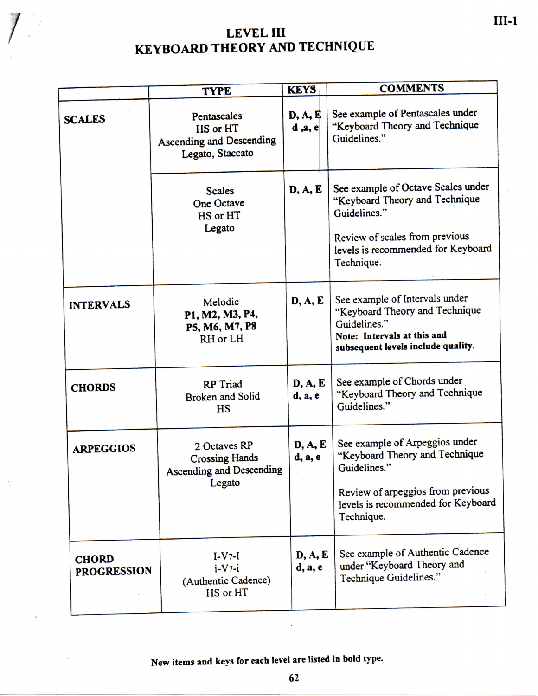## **LEVE L III KEYBOARD THEORY AND TECHNIQUE**

|                                    | <b>TYPE</b>                                                                        | <b>KEYS</b>        | <b>COMMENTS</b>                                                                                                                                                            |  |  |  |
|------------------------------------|------------------------------------------------------------------------------------|--------------------|----------------------------------------------------------------------------------------------------------------------------------------------------------------------------|--|--|--|
| <b>SCALES</b>                      | Pentascales<br>HS or HT<br><b>Ascending and Descending</b><br>Legato, Staccato     | D, A, E<br>d, a, e | See example of Pentascales under<br>"Keyboard Theory and Technique<br>Guidelines."                                                                                         |  |  |  |
|                                    | <b>Scales</b><br>One Octave<br>HS or HT<br>Legato                                  | D, A, E            | See example of Octave Scales under<br>"Keyboard Theory and Technique<br>Guidelines."<br>Review of scales from previous<br>levels is recommended for Keyboard<br>Technique. |  |  |  |
| <b>INTERVALS</b>                   | Melodic<br>P1, M2, M3, P4,<br>P5, M6, M7, P8<br>RH or LH                           | D, A, E            | See example of Intervals under<br>"Keyboard Theory and Technique<br>Guidelines."<br>Note: Intervals at this and<br>subsequent levels include quality.                      |  |  |  |
| <b>CHORDS</b>                      | <b>RP</b> Triad<br><b>Broken and Solid</b><br><b>HS</b>                            | D, A, E<br>d, a, e | See example of Chords under<br>"Keyboard Theory and Technique<br>Guidelines."                                                                                              |  |  |  |
| <b>ARPEGGIOS</b>                   | 2 Octaves RP<br><b>Crossing Hands</b><br><b>Ascending and Descending</b><br>Legato | D, A, E<br>d, a, e | See example of Arpeggios under<br>"Keyboard Theory and Technique<br>Guidelines."<br>Review of arpeggios from previous<br>levels is recommended for Keyboard<br>Technique.  |  |  |  |
| <b>CHORD</b><br><b>PROGRESSION</b> | $I-V7-I$<br>$i-V7-i$<br>(Authentic Cadence)<br>HS or HT                            | D, A, E<br>d, a, e | See example of Authentic Cadence<br>under "Keyboard Theory and<br>Technique Guidelines."                                                                                   |  |  |  |

**New items and keys for each level are listed in bold type.**